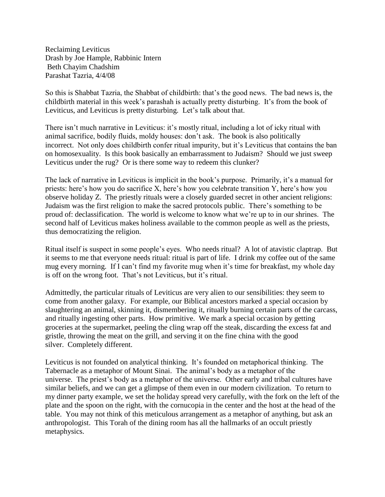Reclaiming Leviticus Drash by Joe Hample, Rabbinic Intern Beth Chayim Chadshim Parashat Tazria, 4/4/08

So this is Shabbat Tazria, the Shabbat of childbirth: that's the good news. The bad news is, the childbirth material in this week's parashah is actually pretty disturbing. It's from the book of Leviticus, and Leviticus is pretty disturbing. Let's talk about that.

There isn't much narrative in Leviticus: it's mostly ritual, including a lot of icky ritual with animal sacrifice, bodily fluids, moldy houses: don't ask. The book is also politically incorrect. Not only does childbirth confer ritual impurity, but it's Leviticus that contains the ban on homosexuality. Is this book basically an embarrassment to Judaism? Should we just sweep Leviticus under the rug? Or is there some way to redeem this clunker?

The lack of narrative in Leviticus is implicit in the book's purpose. Primarily, it's a manual for priests: here's how you do sacrifice X, here's how you celebrate transition Y, here's how you observe holiday Z. The priestly rituals were a closely guarded secret in other ancient religions: Judaism was the first religion to make the sacred protocols public. There's something to be proud of: declassification. The world is welcome to know what we're up to in our shrines. The second half of Leviticus makes holiness available to the common people as well as the priests, thus democratizing the religion.

Ritual itself is suspect in some people's eyes. Who needs ritual? A lot of atavistic claptrap. But it seems to me that everyone needs ritual: ritual is part of life. I drink my coffee out of the same mug every morning. If I can't find my favorite mug when it's time for breakfast, my whole day is off on the wrong foot. That's not Leviticus, but it's ritual.

Admittedly, the particular rituals of Leviticus are very alien to our sensibilities: they seem to come from another galaxy. For example, our Biblical ancestors marked a special occasion by slaughtering an animal, skinning it, dismembering it, ritually burning certain parts of the carcass, and ritually ingesting other parts. How primitive. We mark a special occasion by getting groceries at the supermarket, peeling the cling wrap off the steak, discarding the excess fat and gristle, throwing the meat on the grill, and serving it on the fine china with the good silver. Completely different.

Leviticus is not founded on analytical thinking. It's founded on metaphorical thinking. The Tabernacle as a metaphor of Mount Sinai. The animal's body as a metaphor of the universe. The priest's body as a metaphor of the universe. Other early and tribal cultures have similar beliefs, and we can get a glimpse of them even in our modern civilization. To return to my dinner party example, we set the holiday spread very carefully, with the fork on the left of the plate and the spoon on the right, with the cornucopia in the center and the host at the head of the table. You may not think of this meticulous arrangement as a metaphor of anything, but ask an anthropologist. This Torah of the dining room has all the hallmarks of an occult priestly metaphysics.